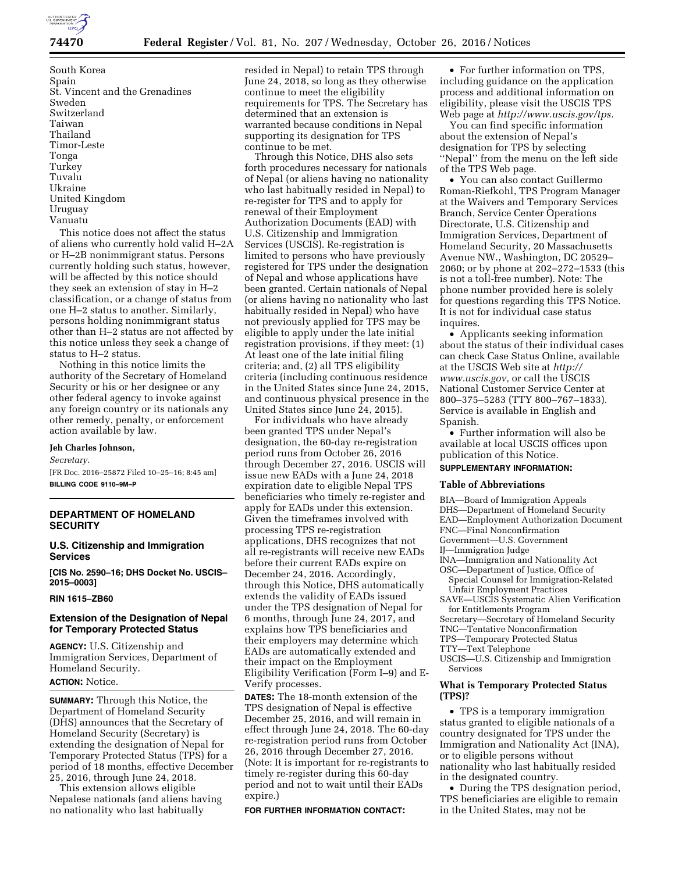

South Korea Spain St. Vincent and the Grenadines Sweden Switzerland Taiwan Thailand Timor-Leste Tonga Turkey Tuvalu Ukraine United Kingdom Uruguay

Vanuatu

This notice does not affect the status of aliens who currently hold valid H–2A or H–2B nonimmigrant status. Persons currently holding such status, however, will be affected by this notice should they seek an extension of stay in H–2 classification, or a change of status from one H–2 status to another. Similarly, persons holding nonimmigrant status other than H–2 status are not affected by this notice unless they seek a change of status to H–2 status.

Nothing in this notice limits the authority of the Secretary of Homeland Security or his or her designee or any other federal agency to invoke against any foreign country or its nationals any other remedy, penalty, or enforcement action available by law.

#### **Jeh Charles Johnson,**

*Secretary.* 

[FR Doc. 2016–25872 Filed 10–25–16; 8:45 am] **BILLING CODE 9110–9M–P** 

### **DEPARTMENT OF HOMELAND SECURITY**

**U.S. Citizenship and Immigration Services** 

**[CIS No. 2590–16; DHS Docket No. USCIS– 2015–0003]** 

# **RIN 1615–ZB60**

## **Extension of the Designation of Nepal for Temporary Protected Status**

**AGENCY:** U.S. Citizenship and Immigration Services, Department of Homeland Security. **ACTION:** Notice.

**SUMMARY:** Through this Notice, the Department of Homeland Security (DHS) announces that the Secretary of Homeland Security (Secretary) is extending the designation of Nepal for Temporary Protected Status (TPS) for a period of 18 months, effective December 25, 2016, through June 24, 2018.

This extension allows eligible Nepalese nationals (and aliens having no nationality who last habitually

resided in Nepal) to retain TPS through June 24, 2018, so long as they otherwise continue to meet the eligibility requirements for TPS. The Secretary has determined that an extension is warranted because conditions in Nepal supporting its designation for TPS

continue to be met. Through this Notice, DHS also sets forth procedures necessary for nationals of Nepal (or aliens having no nationality who last habitually resided in Nepal) to re-register for TPS and to apply for renewal of their Employment Authorization Documents (EAD) with U.S. Citizenship and Immigration Services (USCIS). Re-registration is limited to persons who have previously registered for TPS under the designation of Nepal and whose applications have been granted. Certain nationals of Nepal (or aliens having no nationality who last habitually resided in Nepal) who have not previously applied for TPS may be eligible to apply under the late initial registration provisions, if they meet: (1) At least one of the late initial filing criteria; and, (2) all TPS eligibility criteria (including continuous residence in the United States since June 24, 2015, and continuous physical presence in the United States since June 24, 2015).

For individuals who have already been granted TPS under Nepal's designation, the 60-day re-registration period runs from October 26, 2016 through December 27, 2016. USCIS will issue new EADs with a June 24, 2018 expiration date to eligible Nepal TPS beneficiaries who timely re-register and apply for EADs under this extension. Given the timeframes involved with processing TPS re-registration applications, DHS recognizes that not all re-registrants will receive new EADs before their current EADs expire on December 24, 2016. Accordingly, through this Notice, DHS automatically extends the validity of EADs issued under the TPS designation of Nepal for 6 months, through June 24, 2017, and explains how TPS beneficiaries and their employers may determine which EADs are automatically extended and their impact on the Employment Eligibility Verification (Form I–9) and E-Verify processes.

**DATES:** The 18-month extension of the TPS designation of Nepal is effective December 25, 2016, and will remain in effect through June 24, 2018. The 60-day re-registration period runs from October 26, 2016 through December 27, 2016. (Note: It is important for re-registrants to timely re-register during this 60-day period and not to wait until their EADs expire.)

#### **FOR FURTHER INFORMATION CONTACT:**

• For further information on TPS, including guidance on the application process and additional information on eligibility, please visit the USCIS TPS Web page at *[http://www.uscis.gov/tps.](http://www.uscis.gov/tps)* 

You can find specific information about the extension of Nepal's designation for TPS by selecting ''Nepal'' from the menu on the left side of the TPS Web page.

• You can also contact Guillermo Roman-Riefkohl, TPS Program Manager at the Waivers and Temporary Services Branch, Service Center Operations Directorate, U.S. Citizenship and Immigration Services, Department of Homeland Security, 20 Massachusetts Avenue NW., Washington, DC 20529– 2060; or by phone at 202–272–1533 (this is not a toll-free number). Note: The phone number provided here is solely for questions regarding this TPS Notice. It is not for individual case status inquires.

• Applicants seeking information about the status of their individual cases can check Case Status Online, available at the USCIS Web site at *[http://](http://www.uscis.gov) [www.uscis.gov,](http://www.uscis.gov)* or call the USCIS National Customer Service Center at 800–375–5283 (TTY 800–767–1833). Service is available in English and Spanish.

• Further information will also be available at local USCIS offices upon publication of this Notice.

#### **SUPPLEMENTARY INFORMATION:**

#### **Table of Abbreviations**

BIA—Board of Immigration Appeals

- DHS—Department of Homeland Security
- EAD—Employment Authorization Document
- FNC—Final Nonconfirmation Government—U.S. Government
- 
- IJ—Immigration Judge
- INA—Immigration and Nationality Act OSC—Department of Justice, Office of
- Special Counsel for Immigration-Related Unfair Employment Practices
- SAVE—USCIS Systematic Alien Verification for Entitlements Program
- Secretary—Secretary of Homeland Security
- TNC—Tentative Nonconfirmation
- TPS—Temporary Protected Status
- TTY—Text Telephone
- USCIS—U.S. Citizenship and Immigration Services

#### **What is Temporary Protected Status (TPS)?**

• TPS is a temporary immigration status granted to eligible nationals of a country designated for TPS under the Immigration and Nationality Act (INA), or to eligible persons without nationality who last habitually resided in the designated country.

• During the TPS designation period, TPS beneficiaries are eligible to remain in the United States, may not be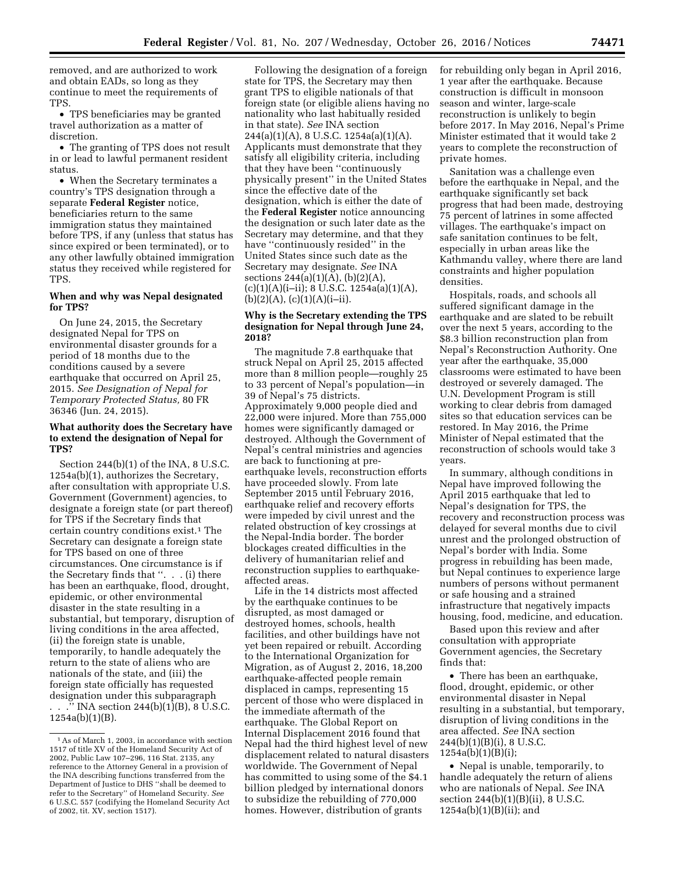removed, and are authorized to work and obtain EADs, so long as they continue to meet the requirements of TPS.

• TPS beneficiaries may be granted travel authorization as a matter of discretion.

• The granting of TPS does not result in or lead to lawful permanent resident status.

• When the Secretary terminates a country's TPS designation through a separate **Federal Register** notice, beneficiaries return to the same immigration status they maintained before TPS, if any (unless that status has since expired or been terminated), or to any other lawfully obtained immigration status they received while registered for TPS.

### **When and why was Nepal designated for TPS?**

On June 24, 2015, the Secretary designated Nepal for TPS on environmental disaster grounds for a period of 18 months due to the conditions caused by a severe earthquake that occurred on April 25, 2015. *See Designation of Nepal for Temporary Protected Status,* 80 FR 36346 (Jun. 24, 2015).

## **What authority does the Secretary have to extend the designation of Nepal for TPS?**

Section 244(b)(1) of the INA, 8 U.S.C. 1254a(b)(1), authorizes the Secretary, after consultation with appropriate U.S. Government (Government) agencies, to designate a foreign state (or part thereof) for TPS if the Secretary finds that certain country conditions exist.1 The Secretary can designate a foreign state for TPS based on one of three circumstances. One circumstance is if the Secretary finds that ''. . . (i) there has been an earthquake, flood, drought, epidemic, or other environmental disaster in the state resulting in a substantial, but temporary, disruption of living conditions in the area affected, (ii) the foreign state is unable, temporarily, to handle adequately the return to the state of aliens who are nationals of the state, and (iii) the foreign state officially has requested designation under this subparagraph

. ." INA section 244(b)(1)(B), 8 U.S.C. 1254a(b)(1)(B).

Following the designation of a foreign state for TPS, the Secretary may then grant TPS to eligible nationals of that foreign state (or eligible aliens having no nationality who last habitually resided in that state). *See* INA section 244(a)(1)(A), 8 U.S.C. 1254a(a)(1)(A). Applicants must demonstrate that they satisfy all eligibility criteria, including that they have been ''continuously physically present'' in the United States since the effective date of the designation, which is either the date of the **Federal Register** notice announcing the designation or such later date as the Secretary may determine, and that they have ''continuously resided'' in the United States since such date as the Secretary may designate. *See* INA sections  $244(a)(1)(A)$ ,  $(b)(2)(A)$ ,  $(c)(1)(A)(i-ii); 8 U.S.C. 1254a(a)(1)(A),$  $(b)(2)(A), (c)(1)(A)(i-ii).$ 

## **Why is the Secretary extending the TPS designation for Nepal through June 24, 2018?**

The magnitude 7.8 earthquake that struck Nepal on April 25, 2015 affected more than 8 million people—roughly 25 to 33 percent of Nepal's population—in 39 of Nepal's 75 districts. Approximately 9,000 people died and 22,000 were injured. More than 755,000 homes were significantly damaged or destroyed. Although the Government of Nepal's central ministries and agencies are back to functioning at preearthquake levels, reconstruction efforts have proceeded slowly. From late September 2015 until February 2016, earthquake relief and recovery efforts were impeded by civil unrest and the related obstruction of key crossings at the Nepal-India border. The border blockages created difficulties in the delivery of humanitarian relief and reconstruction supplies to earthquakeaffected areas.

Life in the 14 districts most affected by the earthquake continues to be disrupted, as most damaged or destroyed homes, schools, health facilities, and other buildings have not yet been repaired or rebuilt. According to the International Organization for Migration, as of August 2, 2016, 18,200 earthquake-affected people remain displaced in camps, representing 15 percent of those who were displaced in the immediate aftermath of the earthquake. The Global Report on Internal Displacement 2016 found that Nepal had the third highest level of new displacement related to natural disasters worldwide. The Government of Nepal has committed to using some of the \$4.1 billion pledged by international donors to subsidize the rebuilding of 770,000 homes. However, distribution of grants

for rebuilding only began in April 2016, 1 year after the earthquake. Because construction is difficult in monsoon season and winter, large-scale reconstruction is unlikely to begin before 2017. In May 2016, Nepal's Prime Minister estimated that it would take 2 years to complete the reconstruction of private homes.

Sanitation was a challenge even before the earthquake in Nepal, and the earthquake significantly set back progress that had been made, destroying 75 percent of latrines in some affected villages. The earthquake's impact on safe sanitation continues to be felt, especially in urban areas like the Kathmandu valley, where there are land constraints and higher population densities.

Hospitals, roads, and schools all suffered significant damage in the earthquake and are slated to be rebuilt over the next 5 years, according to the \$8.3 billion reconstruction plan from Nepal's Reconstruction Authority. One year after the earthquake, 35,000 classrooms were estimated to have been destroyed or severely damaged. The U.N. Development Program is still working to clear debris from damaged sites so that education services can be restored. In May 2016, the Prime Minister of Nepal estimated that the reconstruction of schools would take 3 years.

In summary, although conditions in Nepal have improved following the April 2015 earthquake that led to Nepal's designation for TPS, the recovery and reconstruction process was delayed for several months due to civil unrest and the prolonged obstruction of Nepal's border with India. Some progress in rebuilding has been made, but Nepal continues to experience large numbers of persons without permanent or safe housing and a strained infrastructure that negatively impacts housing, food, medicine, and education.

Based upon this review and after consultation with appropriate Government agencies, the Secretary finds that:

• There has been an earthquake, flood, drought, epidemic, or other environmental disaster in Nepal resulting in a substantial, but temporary, disruption of living conditions in the area affected. *See* INA section  $244(b)(1)(B)(i)$ , 8 U.S.C.  $1254a(b)(1)(B)(i);$ 

• Nepal is unable, temporarily, to handle adequately the return of aliens who are nationals of Nepal. *See* INA section 244(b)(1)(B)(ii), 8 U.S.C.  $1254a(b)(1)(B)(ii)$ ; and

<sup>1</sup>As of March 1, 2003, in accordance with section 1517 of title XV of the Homeland Security Act of 2002, Public Law 107–296, 116 Stat. 2135, any reference to the Attorney General in a provision of the INA describing functions transferred from the Department of Justice to DHS ''shall be deemed to refer to the Secretary'' of Homeland Security. *See*  6 U.S.C. 557 (codifying the Homeland Security Act of 2002, tit. XV, section 1517).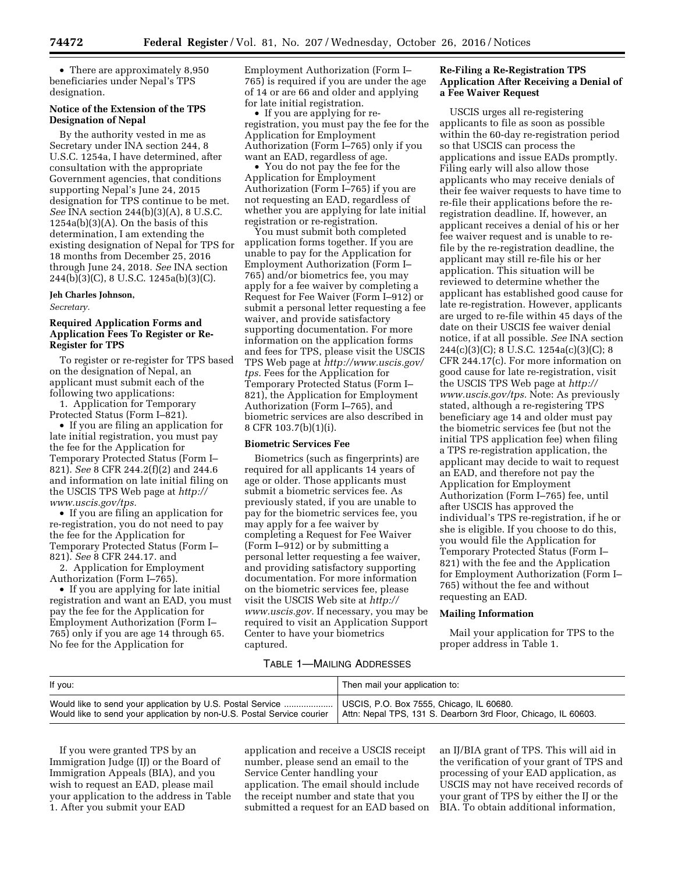• There are approximately 8,950 beneficiaries under Nepal's TPS designation.

#### **Notice of the Extension of the TPS Designation of Nepal**

By the authority vested in me as Secretary under INA section 244, 8 U.S.C. 1254a, I have determined, after consultation with the appropriate Government agencies, that conditions supporting Nepal's June 24, 2015 designation for TPS continue to be met. *See* INA section 244(b)(3)(A), 8 U.S.C.  $1254a(b)(3)(A)$ . On the basis of this determination, I am extending the existing designation of Nepal for TPS for 18 months from December 25, 2016 through June 24, 2018. *See* INA section 244(b)(3)(C), 8 U.S.C. 1245a(b)(3)(C).

#### **Jeh Charles Johnson,**  *Secretary.*

#### **Required Application Forms and Application Fees To Register or Re-Register for TPS**

To register or re-register for TPS based on the designation of Nepal, an applicant must submit each of the following two applications:

1. Application for Temporary Protected Status (Form I–821).

• If you are filing an application for late initial registration, you must pay the fee for the Application for Temporary Protected Status (Form I– 821). *See* 8 CFR 244.2(f)(2) and 244.6 and information on late initial filing on the USCIS TPS Web page at *[http://](http://www.uscis.gov/tps) [www.uscis.gov/tps.](http://www.uscis.gov/tps)* 

• If you are filing an application for re-registration, you do not need to pay the fee for the Application for Temporary Protected Status (Form I– 821). *See* 8 CFR 244.17. and

2. Application for Employment Authorization (Form I–765).

• If you are applying for late initial registration and want an EAD, you must pay the fee for the Application for Employment Authorization (Form I– 765) only if you are age 14 through 65. No fee for the Application for

Employment Authorization (Form I– 765) is required if you are under the age of 14 or are 66 and older and applying for late initial registration.

• If you are applying for reregistration, you must pay the fee for the Application for Employment Authorization (Form I–765) only if you want an EAD, regardless of age.

• You do not pay the fee for the Application for Employment Authorization (Form I–765) if you are not requesting an EAD, regardless of whether you are applying for late initial registration or re-registration.

You must submit both completed application forms together. If you are unable to pay for the Application for Employment Authorization (Form I– 765) and/or biometrics fee, you may apply for a fee waiver by completing a Request for Fee Waiver (Form I–912) or submit a personal letter requesting a fee waiver, and provide satisfactory supporting documentation. For more information on the application forms and fees for TPS, please visit the USCIS TPS Web page at *[http://www.uscis.gov/](http://www.uscis.gov/tps) [tps.](http://www.uscis.gov/tps)* Fees for the Application for Temporary Protected Status (Form I– 821), the Application for Employment Authorization (Form I–765), and biometric services are also described in 8 CFR 103.7(b)(1)(i).

### **Biometric Services Fee**

Biometrics (such as fingerprints) are required for all applicants 14 years of age or older. Those applicants must submit a biometric services fee. As previously stated, if you are unable to pay for the biometric services fee, you may apply for a fee waiver by completing a Request for Fee Waiver (Form I–912) or by submitting a personal letter requesting a fee waiver, and providing satisfactory supporting documentation. For more information on the biometric services fee, please visit the USCIS Web site at *[http://](http://www.uscis.gov) [www.uscis.gov.](http://www.uscis.gov)* If necessary, you may be required to visit an Application Support Center to have your biometrics captured.

## **Re-Filing a Re-Registration TPS Application After Receiving a Denial of a Fee Waiver Request**

USCIS urges all re-registering applicants to file as soon as possible within the 60-day re-registration period so that USCIS can process the applications and issue EADs promptly. Filing early will also allow those applicants who may receive denials of their fee waiver requests to have time to re-file their applications before the reregistration deadline. If, however, an applicant receives a denial of his or her fee waiver request and is unable to refile by the re-registration deadline, the applicant may still re-file his or her application. This situation will be reviewed to determine whether the applicant has established good cause for late re-registration. However, applicants are urged to re-file within 45 days of the date on their USCIS fee waiver denial notice, if at all possible. *See* INA section 244(c)(3)(C); 8 U.S.C. 1254a(c)(3)(C); 8 CFR 244.17(c). For more information on good cause for late re-registration, visit the USCIS TPS Web page at *[http://](http://www.uscis.gov/tps) [www.uscis.gov/tps.](http://www.uscis.gov/tps)* Note: As previously stated, although a re-registering TPS beneficiary age 14 and older must pay the biometric services fee (but not the initial TPS application fee) when filing a TPS re-registration application, the applicant may decide to wait to request an EAD, and therefore not pay the Application for Employment Authorization (Form I–765) fee, until after USCIS has approved the individual's TPS re-registration, if he or she is eligible. If you choose to do this, you would file the Application for Temporary Protected Status (Form I– 821) with the fee and the Application for Employment Authorization (Form I– 765) without the fee and without requesting an EAD.

#### **Mailing Information**

Mail your application for TPS to the proper address in Table 1.

#### TABLE 1—MAILING ADDRESSES

| If you:                                                                                                                                                                        | Then mail your application to:                                 |
|--------------------------------------------------------------------------------------------------------------------------------------------------------------------------------|----------------------------------------------------------------|
| Would like to send your application by U.S. Postal Service  USCIS, P.O. Box 7555, Chicago, IL 60680.<br>Would like to send your application by non-U.S. Postal Service courier | Attn: Nepal TPS, 131 S. Dearborn 3rd Floor, Chicago, IL 60603. |

If you were granted TPS by an Immigration Judge (IJ) or the Board of Immigration Appeals (BIA), and you wish to request an EAD, please mail your application to the address in Table 1. After you submit your EAD

application and receive a USCIS receipt number, please send an email to the Service Center handling your application. The email should include the receipt number and state that you submitted a request for an EAD based on

an IJ/BIA grant of TPS. This will aid in the verification of your grant of TPS and processing of your EAD application, as USCIS may not have received records of your grant of TPS by either the IJ or the BIA. To obtain additional information,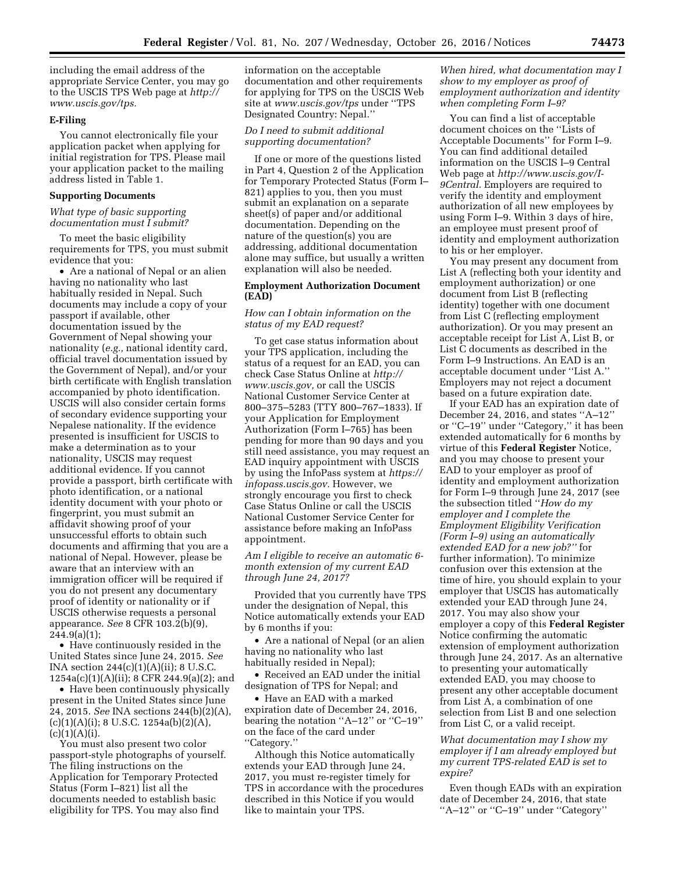including the email address of the appropriate Service Center, you may go to the USCIS TPS Web page at *[http://](http://www.uscis.gov/tps) [www.uscis.gov/tps.](http://www.uscis.gov/tps)* 

### **E-Filing**

You cannot electronically file your application packet when applying for initial registration for TPS. Please mail your application packet to the mailing address listed in Table 1.

#### **Supporting Documents**

## *What type of basic supporting documentation must I submit?*

To meet the basic eligibility requirements for TPS, you must submit evidence that you:

• Are a national of Nepal or an alien having no nationality who last habitually resided in Nepal. Such documents may include a copy of your passport if available, other documentation issued by the Government of Nepal showing your nationality (*e.g.,* national identity card, official travel documentation issued by the Government of Nepal), and/or your birth certificate with English translation accompanied by photo identification. USCIS will also consider certain forms of secondary evidence supporting your Nepalese nationality. If the evidence presented is insufficient for USCIS to make a determination as to your nationality, USCIS may request additional evidence. If you cannot provide a passport, birth certificate with photo identification, or a national identity document with your photo or fingerprint, you must submit an affidavit showing proof of your unsuccessful efforts to obtain such documents and affirming that you are a national of Nepal. However, please be aware that an interview with an immigration officer will be required if you do not present any documentary proof of identity or nationality or if USCIS otherwise requests a personal appearance. *See* 8 CFR 103.2(b)(9), 244.9(a)(1);

• Have continuously resided in the United States since June 24, 2015. *See*  INA section 244(c)(1)(A)(ii); 8 U.S.C. 1254a(c)(1)(A)(ii); 8 CFR 244.9(a)(2); and

• Have been continuously physically present in the United States since June 24, 2015. *See* INA sections 244(b)(2)(A),  $(c)(1)(A)(i); 8 U.S.C. 1254a(b)(2)(A),$  $(c)(1)(A)(i).$ 

You must also present two color passport-style photographs of yourself. The filing instructions on the Application for Temporary Protected Status (Form I–821) list all the documents needed to establish basic eligibility for TPS. You may also find

information on the acceptable documentation and other requirements for applying for TPS on the USCIS Web site at *[www.uscis.gov/tps](http://www.uscis.gov/tps)* under "TPS Designated Country: Nepal.''

#### *Do I need to submit additional supporting documentation?*

If one or more of the questions listed in Part 4, Question 2 of the Application for Temporary Protected Status (Form I– 821) applies to you, then you must submit an explanation on a separate sheet(s) of paper and/or additional documentation. Depending on the nature of the question(s) you are addressing, additional documentation alone may suffice, but usually a written explanation will also be needed.

### **Employment Authorization Document (EAD)**

### *How can I obtain information on the status of my EAD request?*

To get case status information about your TPS application, including the status of a request for an EAD, you can check Case Status Online at *[http://](http://www.uscis.gov) [www.uscis.gov,](http://www.uscis.gov)* or call the USCIS National Customer Service Center at 800–375–5283 (TTY 800–767–1833). If your Application for Employment Authorization (Form I–765) has been pending for more than 90 days and you still need assistance, you may request an EAD inquiry appointment with USCIS by using the InfoPass system at *[https://](https://infopass.uscis.gov) [infopass.uscis.gov.](https://infopass.uscis.gov)* However, we strongly encourage you first to check Case Status Online or call the USCIS National Customer Service Center for assistance before making an InfoPass appointment.

### *Am I eligible to receive an automatic 6 month extension of my current EAD through June 24, 2017?*

Provided that you currently have TPS under the designation of Nepal, this Notice automatically extends your EAD by 6 months if you:

• Are a national of Nepal (or an alien having no nationality who last habitually resided in Nepal);

• Received an EAD under the initial designation of TPS for Nepal; and

• Have an EAD with a marked expiration date of December 24, 2016, bearing the notation ''A–12'' or ''C–19'' on the face of the card under ''Category.''

Although this Notice automatically extends your EAD through June 24, 2017, you must re-register timely for TPS in accordance with the procedures described in this Notice if you would like to maintain your TPS.

### *When hired, what documentation may I show to my employer as proof of employment authorization and identity when completing Form I–9?*

You can find a list of acceptable document choices on the ''Lists of Acceptable Documents'' for Form I–9. You can find additional detailed information on the USCIS I–9 Central Web page at *[http://www.uscis.gov/I-](http://www.uscis.gov/I-9Central)[9Central.](http://www.uscis.gov/I-9Central)* Employers are required to verify the identity and employment authorization of all new employees by using Form I–9. Within 3 days of hire, an employee must present proof of identity and employment authorization to his or her employer.

You may present any document from List A (reflecting both your identity and employment authorization) or one document from List B (reflecting identity) together with one document from List C (reflecting employment authorization). Or you may present an acceptable receipt for List A, List B, or List C documents as described in the Form I–9 Instructions. An EAD is an acceptable document under ''List A.'' Employers may not reject a document based on a future expiration date.

If your EAD has an expiration date of December 24, 2016, and states ''A–12'' or ''C–19'' under ''Category,'' it has been extended automatically for 6 months by virtue of this **Federal Register** Notice, and you may choose to present your EAD to your employer as proof of identity and employment authorization for Form I–9 through June 24, 2017 (see the subsection titled ''*How do my employer and I complete the Employment Eligibility Verification (Form I–9) using an automatically extended EAD for a new job?''* for further information). To minimize confusion over this extension at the time of hire, you should explain to your employer that USCIS has automatically extended your EAD through June 24, 2017. You may also show your employer a copy of this **Federal Register**  Notice confirming the automatic extension of employment authorization through June 24, 2017. As an alternative to presenting your automatically extended EAD, you may choose to present any other acceptable document from List A, a combination of one selection from List B and one selection from List C, or a valid receipt.

### *What documentation may I show my employer if I am already employed but my current TPS-related EAD is set to expire?*

Even though EADs with an expiration date of December 24, 2016, that state ''A–12'' or ''C–19'' under ''Category''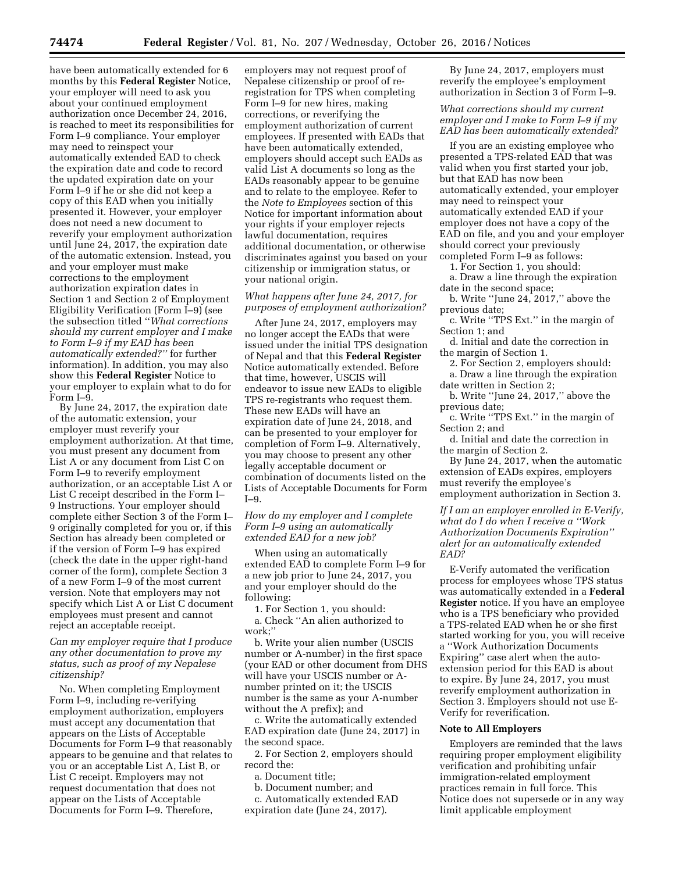have been automatically extended for 6 months by this **Federal Register** Notice, your employer will need to ask you about your continued employment authorization once December 24, 2016, is reached to meet its responsibilities for Form I–9 compliance. Your employer may need to reinspect your automatically extended EAD to check the expiration date and code to record the updated expiration date on your Form I–9 if he or she did not keep a copy of this EAD when you initially presented it. However, your employer does not need a new document to reverify your employment authorization until June 24, 2017, the expiration date of the automatic extension. Instead, you and your employer must make corrections to the employment authorization expiration dates in Section 1 and Section 2 of Employment Eligibility Verification (Form I–9) (see the subsection titled ''*What corrections should my current employer and I make to Form I–9 if my EAD has been automatically extended?''* for further information). In addition, you may also show this **Federal Register** Notice to your employer to explain what to do for Form I–9.

By June 24, 2017, the expiration date of the automatic extension, your employer must reverify your employment authorization. At that time, you must present any document from List A or any document from List C on Form I–9 to reverify employment authorization, or an acceptable List A or List C receipt described in the Form I– 9 Instructions. Your employer should complete either Section 3 of the Form I– 9 originally completed for you or, if this Section has already been completed or if the version of Form I–9 has expired (check the date in the upper right-hand corner of the form), complete Section 3 of a new Form I–9 of the most current version. Note that employers may not specify which List A or List C document employees must present and cannot reject an acceptable receipt.

### *Can my employer require that I produce any other documentation to prove my status, such as proof of my Nepalese citizenship?*

No. When completing Employment Form I–9, including re-verifying employment authorization, employers must accept any documentation that appears on the Lists of Acceptable Documents for Form I–9 that reasonably appears to be genuine and that relates to you or an acceptable List A, List B, or List C receipt. Employers may not request documentation that does not appear on the Lists of Acceptable Documents for Form I–9. Therefore,

employers may not request proof of Nepalese citizenship or proof of reregistration for TPS when completing Form I–9 for new hires, making corrections, or reverifying the employment authorization of current employees. If presented with EADs that have been automatically extended, employers should accept such EADs as valid List A documents so long as the EADs reasonably appear to be genuine and to relate to the employee. Refer to the *Note to Employees* section of this Notice for important information about your rights if your employer rejects lawful documentation, requires additional documentation, or otherwise discriminates against you based on your citizenship or immigration status, or your national origin.

#### *What happens after June 24, 2017, for purposes of employment authorization?*

After June 24, 2017, employers may no longer accept the EADs that were issued under the initial TPS designation of Nepal and that this **Federal Register**  Notice automatically extended. Before that time, however, USCIS will endeavor to issue new EADs to eligible TPS re-registrants who request them. These new EADs will have an expiration date of June 24, 2018, and can be presented to your employer for completion of Form I–9. Alternatively, you may choose to present any other legally acceptable document or combination of documents listed on the Lists of Acceptable Documents for Form I–9.

*How do my employer and I complete Form I–9 using an automatically extended EAD for a new job?* 

When using an automatically extended EAD to complete Form I–9 for a new job prior to June 24, 2017, you and your employer should do the following:

1. For Section 1, you should: a. Check ''An alien authorized to work;''

b. Write your alien number (USCIS number or A-number) in the first space (your EAD or other document from DHS will have your USCIS number or Anumber printed on it; the USCIS number is the same as your A-number without the A prefix); and

c. Write the automatically extended EAD expiration date (June 24, 2017) in the second space.

2. For Section 2, employers should record the:

a. Document title;

b. Document number; and

c. Automatically extended EAD expiration date (June 24, 2017).

By June 24, 2017, employers must reverify the employee's employment authorization in Section 3 of Form I–9.

*What corrections should my current employer and I make to Form I–9 if my EAD has been automatically extended?* 

If you are an existing employee who presented a TPS-related EAD that was valid when you first started your job, but that EAD has now been automatically extended, your employer may need to reinspect your automatically extended EAD if your employer does not have a copy of the EAD on file, and you and your employer should correct your previously completed Form I–9 as follows:

1. For Section 1, you should:

a. Draw a line through the expiration date in the second space;

b. Write ''June 24, 2017,'' above the previous date;

c. Write ''TPS Ext.'' in the margin of Section 1; and

d. Initial and date the correction in the margin of Section 1.

2. For Section 2, employers should:

a. Draw a line through the expiration date written in Section 2;

b. Write ''June 24, 2017,'' above the previous date;

c. Write ''TPS Ext.'' in the margin of Section 2; and

d. Initial and date the correction in the margin of Section 2.

By June 24, 2017, when the automatic extension of EADs expires, employers must reverify the employee's employment authorization in Section 3.

*If I am an employer enrolled in E-Verify, what do I do when I receive a ''Work Authorization Documents Expiration'' alert for an automatically extended EAD?* 

E-Verify automated the verification process for employees whose TPS status was automatically extended in a **Federal Register** notice. If you have an employee who is a TPS beneficiary who provided a TPS-related EAD when he or she first started working for you, you will receive a ''Work Authorization Documents Expiring'' case alert when the autoextension period for this EAD is about to expire. By June 24, 2017, you must reverify employment authorization in Section 3. Employers should not use E-Verify for reverification.

#### **Note to All Employers**

Employers are reminded that the laws requiring proper employment eligibility verification and prohibiting unfair immigration-related employment practices remain in full force. This Notice does not supersede or in any way limit applicable employment